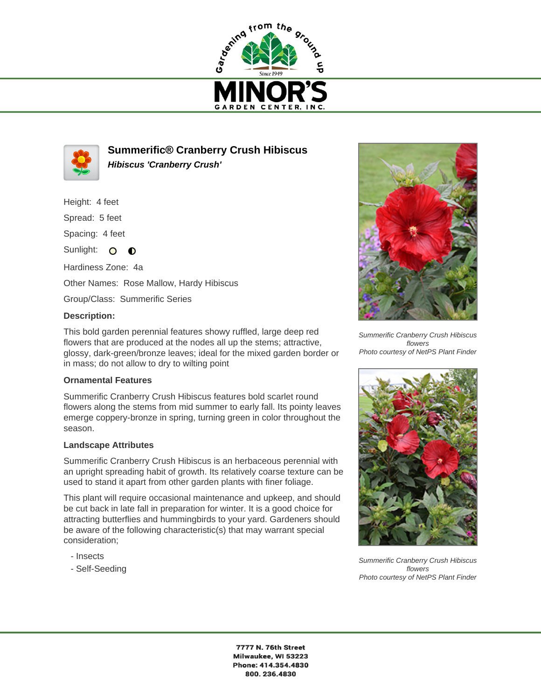



**Summerific® Cranberry Crush Hibiscus Hibiscus 'Cranberry Crush'**

Height: 4 feet

Spread: 5 feet

Spacing: 4 feet

Sunlight:  $\mathbf{O}$  $\bullet$ 

Hardiness Zone: 4a Other Names: Rose Mallow, Hardy Hibiscus

Group/Class: Summerific Series

## **Description:**

This bold garden perennial features showy ruffled, large deep red flowers that are produced at the nodes all up the stems; attractive, glossy, dark-green/bronze leaves; ideal for the mixed garden border or in mass; do not allow to dry to wilting point

## **Ornamental Features**

Summerific Cranberry Crush Hibiscus features bold scarlet round flowers along the stems from mid summer to early fall. Its pointy leaves emerge coppery-bronze in spring, turning green in color throughout the season.

## **Landscape Attributes**

Summerific Cranberry Crush Hibiscus is an herbaceous perennial with an upright spreading habit of growth. Its relatively coarse texture can be used to stand it apart from other garden plants with finer foliage.

This plant will require occasional maintenance and upkeep, and should be cut back in late fall in preparation for winter. It is a good choice for attracting butterflies and hummingbirds to your yard. Gardeners should be aware of the following characteristic(s) that may warrant special consideration;

- Insects
- Self-Seeding



Summerific Cranberry Crush Hibiscus flowers Photo courtesy of NetPS Plant Finder



Summerific Cranberry Crush Hibiscus flowers Photo courtesy of NetPS Plant Finder

7777 N. 76th Street Milwaukee, WI 53223 Phone: 414.354.4830 800.236.4830